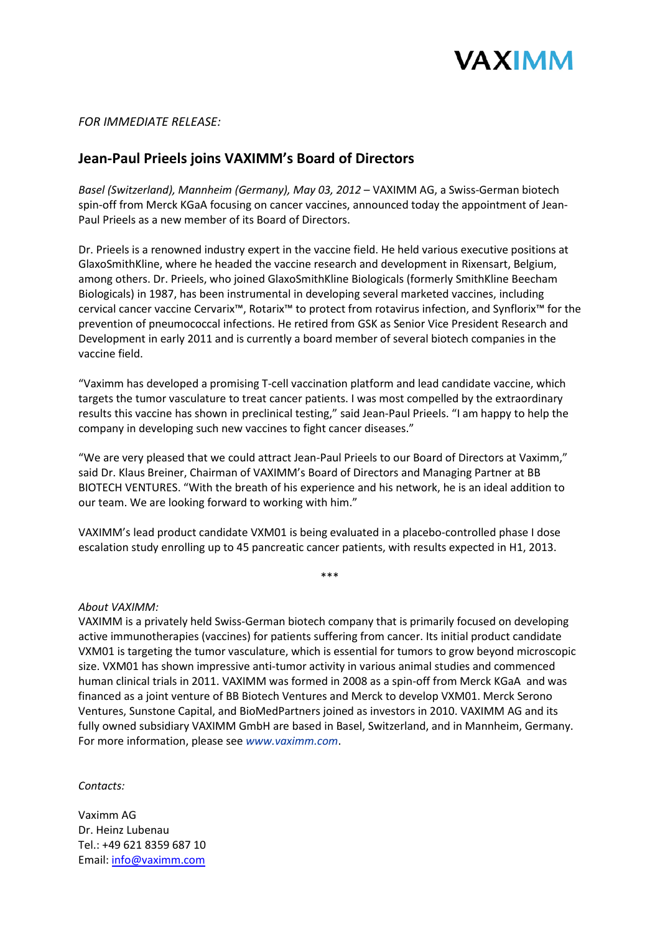

## *FOR IMMEDIATE RELEASE:*

## **Jean-Paul Prieels joins VAXIMM's Board of Directors**

*Basel (Switzerland), Mannheim (Germany), May 03, 2012* – VAXIMM AG, a Swiss-German biotech spin-off from Merck KGaA focusing on cancer vaccines, announced today the appointment of Jean-Paul Prieels as a new member of its Board of Directors.

Dr. Prieels is a renowned industry expert in the vaccine field. He held various executive positions at GlaxoSmithKline, where he headed the vaccine research and development in Rixensart, Belgium, among others. Dr. Prieels, who joined GlaxoSmithKline Biologicals (formerly SmithKline Beecham Biologicals) in 1987, has been instrumental in developing several marketed vaccines, including cervical cancer vaccine Cervarix™, Rotarix™ to protect from rotavirus infection, and Synflorix™ for the prevention of pneumococcal infections. He retired from GSK as Senior Vice President Research and Development in early 2011 and is currently a board member of several biotech companies in the vaccine field.

"Vaximm has developed a promising T-cell vaccination platform and lead candidate vaccine, which targets the tumor vasculature to treat cancer patients. I was most compelled by the extraordinary results this vaccine has shown in preclinical testing," said Jean-Paul Prieels. "I am happy to help the company in developing such new vaccines to fight cancer diseases."

"We are very pleased that we could attract Jean-Paul Prieels to our Board of Directors at Vaximm," said Dr. Klaus Breiner, Chairman of VAXIMM's Board of Directors and Managing Partner at BB BIOTECH VENTURES. "With the breath of his experience and his network, he is an ideal addition to our team. We are looking forward to working with him."

VAXIMM's lead product candidate VXM01 is being evaluated in a placebo-controlled phase I dose escalation study enrolling up to 45 pancreatic cancer patients, with results expected in H1, 2013.

\*\*\*

## *About VAXIMM:*

VAXIMM is a privately held Swiss-German biotech company that is primarily focused on developing active immunotherapies (vaccines) for patients suffering from cancer. Its initial product candidate VXM01 is targeting the tumor vasculature, which is essential for tumors to grow beyond microscopic size. VXM01 has shown impressive anti-tumor activity in various animal studies and commenced human clinical trials in 2011. VAXIMM was formed in 2008 as a spin-off from Merck KGaA and was financed as a joint venture of BB Biotech Ventures and Merck to develop VXM01. Merck Serono Ventures, Sunstone Capital, and BioMedPartners joined as investors in 2010. VAXIMM AG and its fully owned subsidiary VAXIMM GmbH are based in Basel, Switzerland, and in Mannheim, Germany. For more information, please see *www.vaximm.com*.

*Contacts:*

Vaximm AG Dr. Heinz Lubenau Tel.: +49 621 8359 687 10 Email: [info@vaximm.com](mailto:info@vaximm.com)